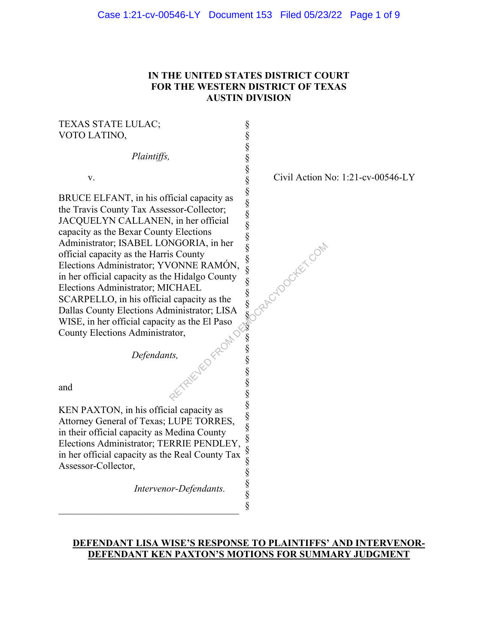## **IN THE UNITED STATES DISTRICT COURT FOR THE WESTERN DISTRICT OF TEXAS AUSTIN DIVISION**

§ § § § § § § § § § § § § § § § §  $\S$ § § § § § § § § § § § §

## TEXAS STATE LULAC; VOTO LATINO,

*Plaintiffs,*

v.

BRUCE ELFANT, in his official capacity as the Travis County Tax Assessor-Collector; JACQUELYN CALLANEN, in her official capacity as the Bexar County Elections Administrator; ISABEL LONGORIA, in her official capacity as the Harris County Elections Administrator; YVONNE RAMÓN, in her official capacity as the Hidalgo County Elections Administrator; MICHAEL SCARPELLO, in his official capacity as the Dallas County Elections Administrator; LISA WISE, in her official capacity as the El Paso County Elections Administrator, RETRICTIONS A MONTH SOCIETY SURVEY CONTROLL CONTROLL CONTROLL CONTROLL CONTROLL CONTROLL CONTROLL CONTROLL CONTROLL CONTROLL CONTROLL CONTROLL CONTROLL CONTROLL CONTROLL CONTROLL CONTROLL CONTROLL CONTROLL CONTROLL CONTRO

*Defendants,* 

and

§ KEN PAXTON, in his official capacity as Attorney General of Texas; LUPE TORRES, in their official capacity as Medina County Elections Administrator; TERRIE PENDLEY, in her official capacity as the Real County Tax Assessor-Collector,

\_\_\_\_\_\_\_\_\_\_\_\_\_\_\_\_\_\_\_\_\_\_\_\_\_\_\_\_\_\_\_\_\_\_\_\_\_

*Intervenor-Defendants.* 

Civil Action No: 1:21-cv-00546-LY

### **DEFENDANT LISA WISE'S RESPONSE TO PLAINTIFFS' AND INTERVENOR-DEFENDANT KEN PAXTON'S MOTIONS FOR SUMMARY JUDGMENT**

§ § § §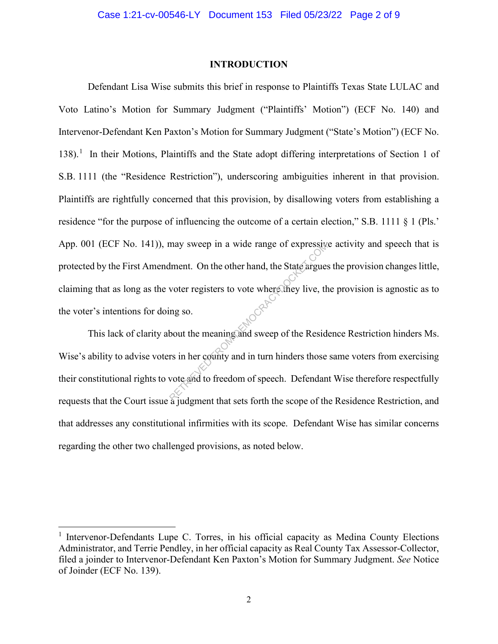#### **INTRODUCTION**

Defendant Lisa Wise submits this brief in response to Plaintiffs Texas State LULAC and Voto Latino's Motion for Summary Judgment ("Plaintiffs' Motion") (ECF No. 140) and Intervenor-Defendant Ken Paxton's Motion for Summary Judgment ("State's Motion") (ECF No. 138).<sup>1</sup> In their Motions, Plaintiffs and the State adopt differing interpretations of Section 1 of S.B. 1111 (the "Residence Restriction"), underscoring ambiguities inherent in that provision. Plaintiffs are rightfully concerned that this provision, by disallowing voters from establishing a residence "for the purpose of influencing the outcome of a certain election," S.B. 1111 § 1 (Pls.' App. 001 (ECF No. 141)), may sweep in a wide range of expressive activity and speech that is protected by the First Amendment. On the other hand, the State argues the provision changes little, claiming that as long as the voter registers to vote where they live, the provision is agnostic as to the voter's intentions for doing so. may sweep in a wide range of expressive<br>lment. On the other hand, the State argues<br>voter registers to vote where they live, the<br>ng so.<br>bout the meaning and sweep of the Resid<br>rs in her county and in turn hinders those<br>vote

This lack of clarity about the meaning and sweep of the Residence Restriction hinders Ms. Wise's ability to advise voters in her county and in turn hinders those same voters from exercising their constitutional rights to vote and to freedom of speech. Defendant Wise therefore respectfully requests that the Court issue a judgment that sets forth the scope of the Residence Restriction, and that addresses any constitutional infirmities with its scope. Defendant Wise has similar concerns regarding the other two challenged provisions, as noted below.

<sup>&</sup>lt;sup>1</sup> Intervenor-Defendants Lupe C. Torres, in his official capacity as Medina County Elections Administrator, and Terrie Pendley, in her official capacity as Real County Tax Assessor-Collector, filed a joinder to Intervenor-Defendant Ken Paxton's Motion for Summary Judgment. *See* Notice of Joinder (ECF No. 139).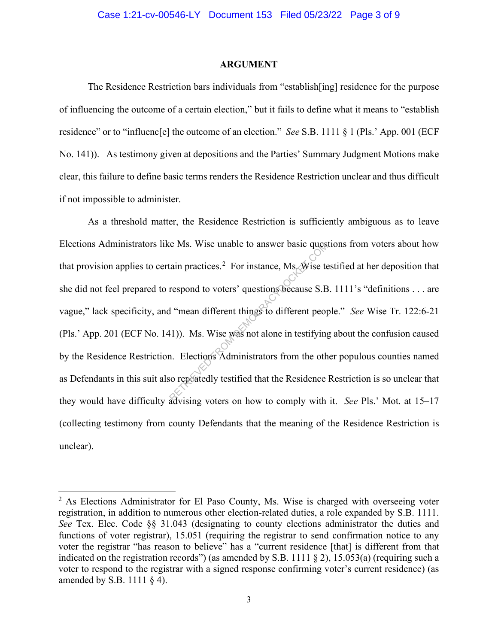#### **ARGUMENT**

The Residence Restriction bars individuals from "establish[ing] residence for the purpose of influencing the outcome of a certain election," but it fails to define what it means to "establish residence" or to "influenc[e] the outcome of an election." *See* S.B. 1111 § 1 (Pls.' App. 001 (ECF No. 141)). As testimony given at depositions and the Parties' Summary Judgment Motions make clear, this failure to define basic terms renders the Residence Restriction unclear and thus difficult if not impossible to administer.

As a threshold matter, the Residence Restriction is sufficiently ambiguous as to leave Elections Administrators like Ms. Wise unable to answer basic questions from voters about how that provision applies to certain practices.<sup>2</sup> For instance, Ms. Wise testified at her deposition that she did not feel prepared to respond to voters' questions because S.B. 1111's "definitions . . . are vague," lack specificity, and "mean different things to different people." *See* Wise Tr. 122:6-21 (Pls.' App. 201 (ECF No. 141)). Ms. Wise was not alone in testifying about the confusion caused by the Residence Restriction. Elections Administrators from the other populous counties named as Defendants in this suit also repeatedly testified that the Residence Restriction is so unclear that they would have difficulty advising voters on how to comply with it. *See* Pls.' Mot. at 15–17 (collecting testimony from county Defendants that the meaning of the Residence Restriction is unclear). RETRIEVED FROM THE RETRIEVED THE RETRIEVED THE RETRIEVED THE TRIED THE TRIED THE TRIED THE TRIED THE TRIED THE TRIED THE TRIED THE TRIED THE TRIED THE TRIED THE TRIED THE TRIED THE TRIED THE TRIED THE TRIED THE TRIED THE T

 $2$  As Elections Administrator for El Paso County, Ms. Wise is charged with overseeing voter registration, in addition to numerous other election-related duties, a role expanded by S.B. 1111. *See* Tex. Elec. Code §§ 31.043 (designating to county elections administrator the duties and functions of voter registrar), 15.051 (requiring the registrar to send confirmation notice to any voter the registrar "has reason to believe" has a "current residence [that] is different from that indicated on the registration records") (as amended by S.B. 1111 § 2), 15.053(a) (requiring such a voter to respond to the registrar with a signed response confirming voter's current residence) (as amended by S.B. 1111  $\S$  4).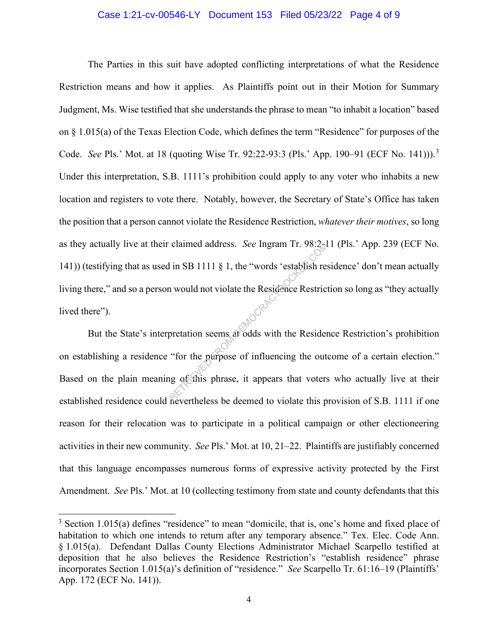#### Case 1:21-cv-00546-LY Document 153 Filed 05/23/22 Page 4 of 9

The Parties in this suit have adopted conflicting interpretations of what the Residence Restriction means and how it applies. As Plaintiffs point out in their Motion for Summary Judgment, Ms. Wise testified that she understands the phrase to mean "to inhabit a location" based on § 1.015(a) of the Texas Election Code, which defines the term "Residence" for purposes of the Code. *See* Pls.' Mot. at 18 (quoting Wise Tr. 92:22-93:3 (Pls.' App. 190–91 (ECF No. 141))).<sup>3</sup> Under this interpretation, S.B. 1111's prohibition could apply to any voter who inhabits a new location and registers to vote there. Notably, however, the Secretary of State's Office has taken the position that a person cannot violate the Residence Restriction, *whatever their motives*, so long as they actually live at their claimed address. *See* Ingram Tr. 98:2-11 (Pls.' App. 239 (ECF No. 141)) (testifying that as used in SB 1111 § 1, the "words 'establish residence' don't mean actually living there," and so a person would not violate the Residence Restriction so long as "they actually lived there"). claimed address. See Ingram Tr. 98:24<br>I in SB 1111 § 1, the "words 'establish rest<br>neutron would not violate the Residence Restrict<br>pretation seems at odds with the Resident<br>"for the purpose of influencing the out-<br>neutron

But the State's interpretation seems at odds with the Residence Restriction's prohibition on establishing a residence "for the purpose of influencing the outcome of a certain election." Based on the plain meaning of this phrase, it appears that voters who actually live at their established residence could nevertheless be deemed to violate this provision of S.B. 1111 if one reason for their relocation was to participate in a political campaign or other electioneering activities in their new community. *See* Pls.' Mot. at 10, 21–22. Plaintiffs are justifiably concerned that this language encompasses numerous forms of expressive activity protected by the First Amendment. *See* Pls.' Mot. at 10 (collecting testimony from state and county defendants that this

<sup>&</sup>lt;sup>3</sup> Section 1.015(a) defines "residence" to mean "domicile, that is, one's home and fixed place of habitation to which one intends to return after any temporary absence." Tex. Elec. Code Ann. § 1.015(a). Defendant Dallas County Elections Administrator Michael Scarpello testified at deposition that he also believes the Residence Restriction's "establish residence" phrase incorporates Section 1.015(a)'s definition of "residence." *See* Scarpello Tr. 61:16–19 (Plaintiffs' App. 172 (ECF No. 141)).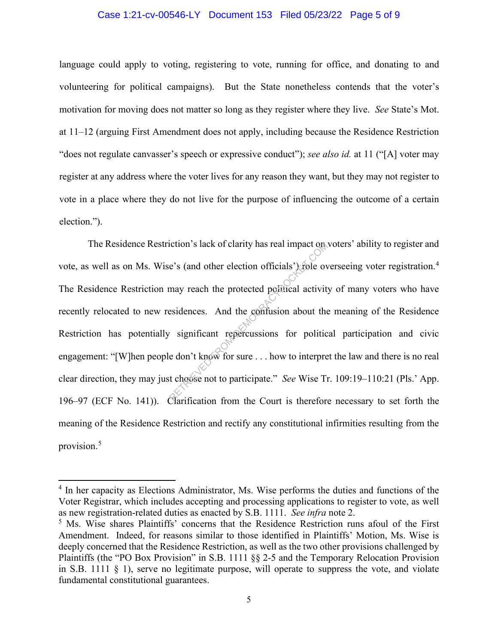#### Case 1:21-cv-00546-LY Document 153 Filed 05/23/22 Page 5 of 9

language could apply to voting, registering to vote, running for office, and donating to and volunteering for political campaigns). But the State nonetheless contends that the voter's motivation for moving does not matter so long as they register where they live. *See* State's Mot. at 11–12 (arguing First Amendment does not apply, including because the Residence Restriction "does not regulate canvasser's speech or expressive conduct"); *see also id.* at 11 ("[A] voter may register at any address where the voter lives for any reason they want, but they may not register to vote in a place where they do not live for the purpose of influencing the outcome of a certain election.").

The Residence Restriction's lack of clarity has real impact on voters' ability to register and vote, as well as on Ms. Wise's (and other election officials') role overseeing voter registration.<sup>4</sup> The Residence Restriction may reach the protected political activity of many voters who have recently relocated to new residences. And the confusion about the meaning of the Residence Restriction has potentially significant repercussions for political participation and civic engagement: "[W]hen people don't know for sure . . . how to interpret the law and there is no real clear direction, they may just choose not to participate." *See* Wise Tr. 109:19–110:21 (Pls.' App. 196–97 (ECF No. 141)). Clarification from the Court is therefore necessary to set forth the meaning of the Residence Restriction and rectify any constitutional infirmities resulting from the provision.<sup>5</sup> Example to the protected positions in the protected position about the sidences. And the confusion about the significant repercussions for politic e don't know for sure ... how to interpret t choose not to participate." Se

<sup>&</sup>lt;sup>4</sup> In her capacity as Elections Administrator, Ms. Wise performs the duties and functions of the Voter Registrar, which includes accepting and processing applications to register to vote, as well as new registration-related duties as enacted by S.B. 1111. *See infra* note 2.<br><sup>5</sup> Ms. Wise shares Plaintiffs' concerns that the Residence Restriction runs afoul of the First

Amendment. Indeed, for reasons similar to those identified in Plaintiffs' Motion, Ms. Wise is deeply concerned that the Residence Restriction, as well as the two other provisions challenged by Plaintiffs (the "PO Box Provision" in S.B. 1111 §§ 2-5 and the Temporary Relocation Provision in S.B. 1111  $\S$  1), serve no legitimate purpose, will operate to suppress the vote, and violate fundamental constitutional guarantees.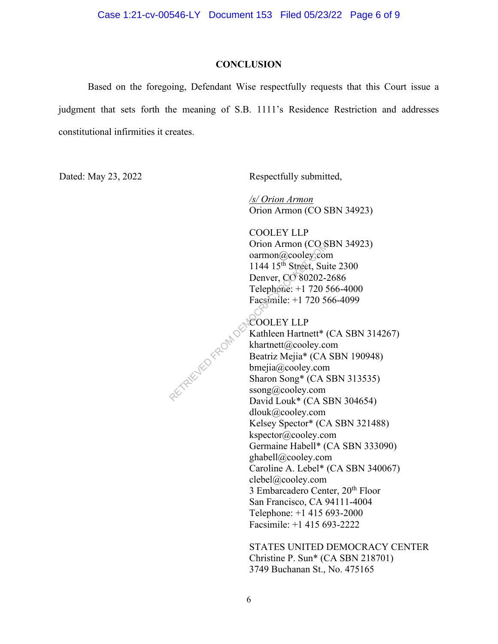#### **CONCLUSION**

Based on the foregoing, Defendant Wise respectfully requests that this Court issue a judgment that sets forth the meaning of S.B. 1111's Residence Restriction and addresses constitutional infirmities it creates.

Dated: May 23, 2022 Respectfully submitted,

*/s/ Orion Armon*  Orion Armon (CO SBN 34923)

COOLEY LLP Orion Armon (CO SBN 34923) oarmon@cooley.com 1144 15<sup>th</sup> Street, Suite 2300 Denver, CO 80202-2686 Telephone: +1 720 566-4000 Facsimile: +1 720 566-4099

COOLEY LLP Kathleen Hartnett\* (CA SBN 314267) khartnett@cooley.com Beatriz Mejia\* (CA SBN 190948) bmejia@cooley.com Sharon Song\* (CA SBN 313535) ssong@cooley.com David Louk\* (CA SBN 304654) dlouk@cooley.com Kelsey Spector\* (CA SBN 321488) kspector@cooley.com Germaine Habell\* (CA SBN 333090) ghabell@cooley.com Caroline A. Lebel\* (CA SBN 340067) clebel@cooley.com 3 Embarcadero Center, 20<sup>th</sup> Floor San Francisco, CA 94111-4004 Telephone: +1 415 693-2000 Facsimile: +1 415 693-2222 RETRIEVED FROM DEMOCRACY

> STATES UNITED DEMOCRACY CENTER Christine P. Sun\* (CA SBN 218701) 3749 Buchanan St., No. 475165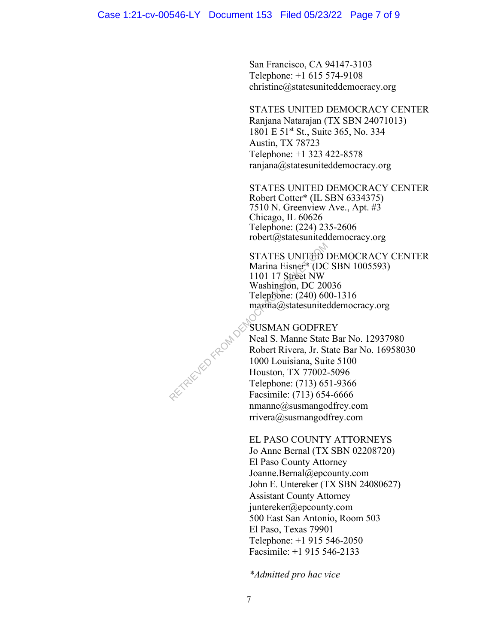San Francisco, CA 94147-3103 Telephone: +1 615 574-9108 christine@statesuniteddemocracy.org

STATES UNITED DEMOCRACY CENTER Ranjana Natarajan (TX SBN 24071013) 1801 E 51<sup>st</sup> St., Suite 365, No. 334 Austin, TX 78723 Telephone: +1 323 422-8578 ranjana@statesuniteddemocracy.org

STATES UNITED DEMOCRACY CENTER Robert Cotter\* (IL SBN 6334375) 7510 N. Greenview Ave., Apt. #3 Chicago, IL 60626 Telephone: (224) 235-2606 robert@statesuniteddemocracy.org

STATES UNITED DEMOCRACY CENTER Marina Eisner\* (DC SBN 1005593) 1101 17 Street NW Washington, DC 20036 Telephone: (240) 600-1316 marina@statesuniteddemocracy.org

SUSMAN GODFREY Neal S. Manne State Bar No. 12937980 Robert Rivera, Jr. State Bar No. 16958030 1000 Louisiana, Suite 5100 Houston, TX 77002-5096 Telephone: (713) 651-9366 Facsimile: (713) 654-6666  $n$ manne $@$ susmangodfrey.com rrivera@susmangodfrey.com RETRIEVED FROM DES

EL PASO COUNTY ATTORNEYS

Jo Anne Bernal (TX SBN 02208720) El Paso County Attorney Joanne.Bernal@epcounty.com John E. Untereker (TX SBN 24080627) Assistant County Attorney juntereker@epcounty.com 500 East San Antonio, Room 503 El Paso, Texas 79901 Telephone: +1 915 546-2050 Facsimile: +1 915 546-2133

*\*Admitted pro hac vice*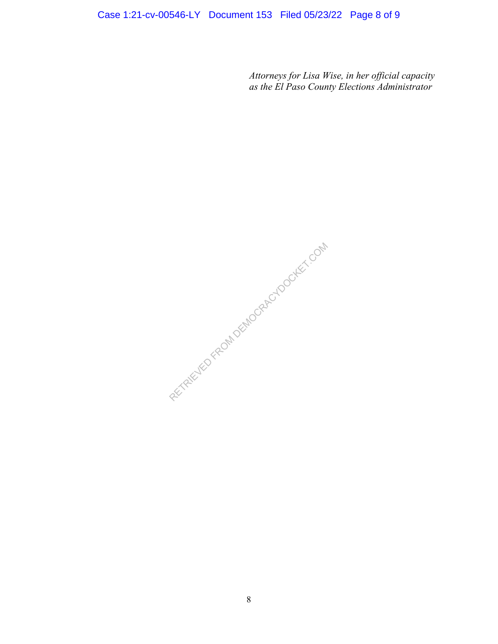# Case 1:21-cv-00546-LY Document 153 Filed 05/23/22 Page 8 of 9

*Attorneys for Lisa Wise, in her official capacity as the El Paso County Elections Administrator*

RECYFELIED FROM DEMOCRACYDOCKET.COM